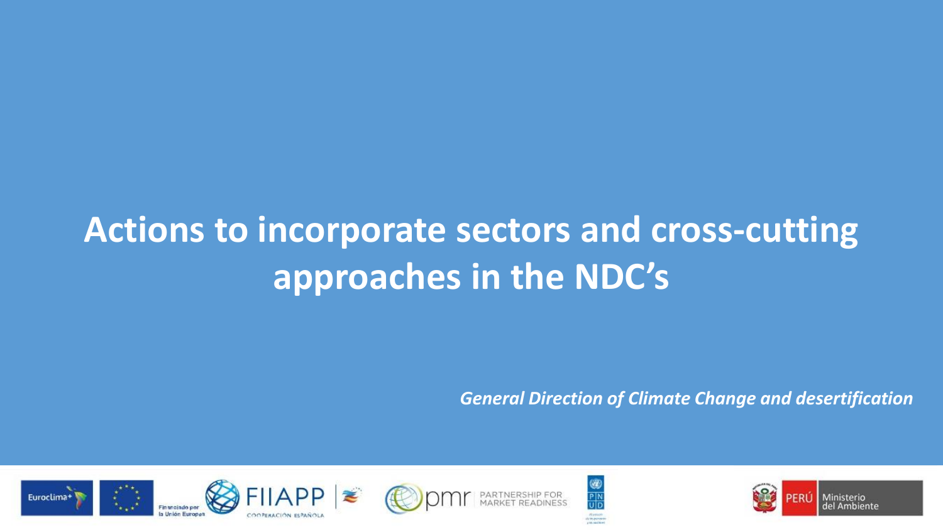# **Actions to incorporate sectors and cross-cutting approaches in the NDC's**

*General Direction of Climate Change and desertification* 







 $\frac{1}{P|N}$ 



Ministerio del Ambiente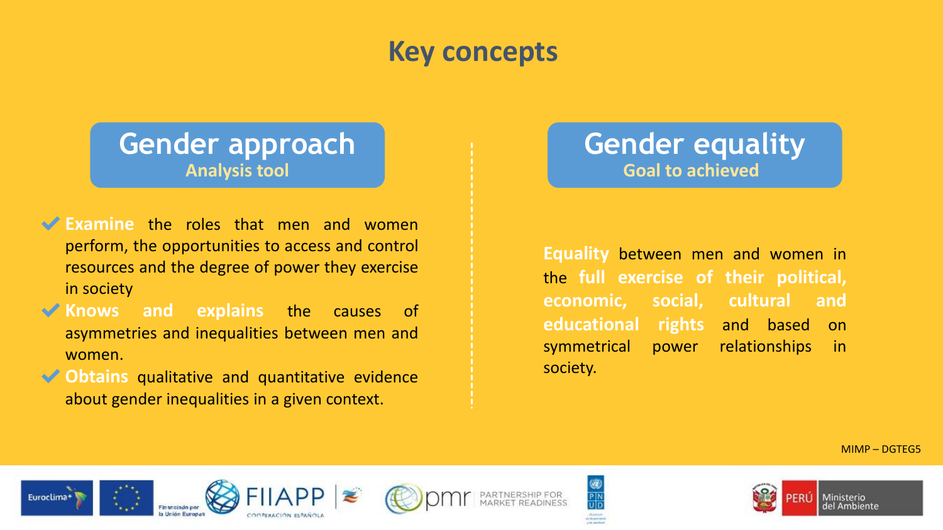### **Key concepts**

### **Gender approach Analysis tool**

- ◆ Examine the roles that men and women perform, the opportunities to access and control resources and the degree of power they exercise in society
- ✔**Knows and explains** the causes of asymmetries and inequalities between men and women.
- **◆ Obtains** qualitative and quantitative evidence about gender inequalities in a given context.

### **Gender equality Goal to achieved**

**Equality** between men and women in the **full exercise of their political, economic, social, cultural and educational rights** and based on symmetrical power relationships in society.

MIMP – DGTEG5











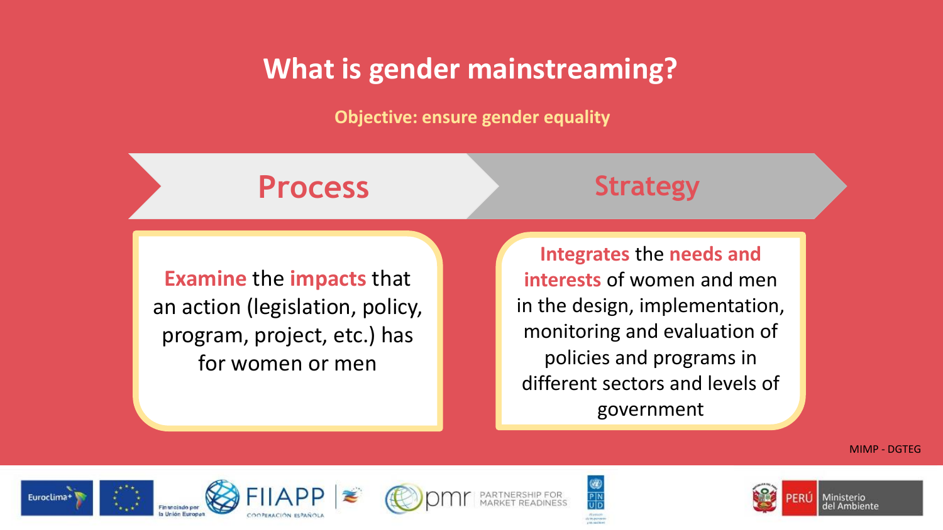### **What is gender mainstreaming?**

**Objective: ensure gender equality**

**Process Strategy**

**Examine** the **impacts** that an action (legislation, policy, program, project, etc.) has for women or men

**Integrates** the **needs and interests** of women and men in the design, implementation, monitoring and evaluation of policies and programs in different sectors and levels of government

MIMP - DGTEG













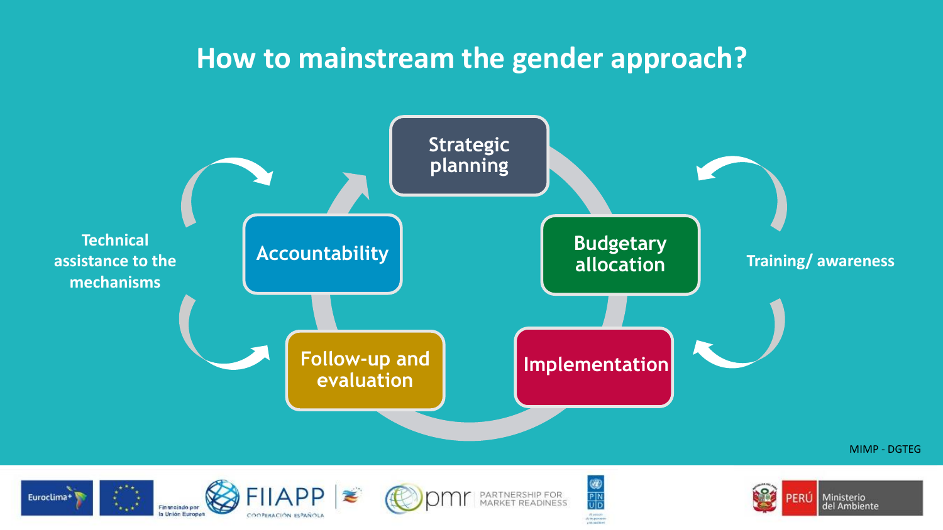### **How to mainstream the gender approach?**

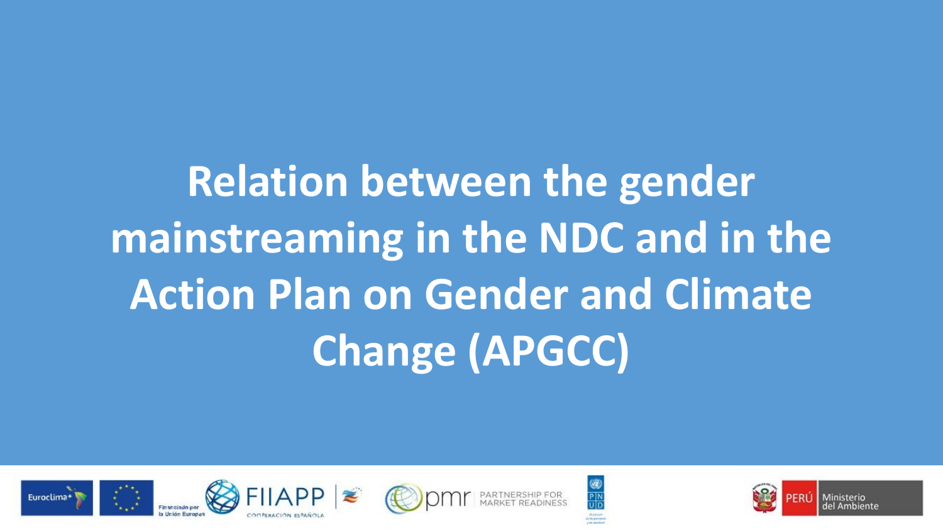**Relation between the gender mainstreaming in the NDC and in the Action Plan on Gender and Climate Change (APGCC)**







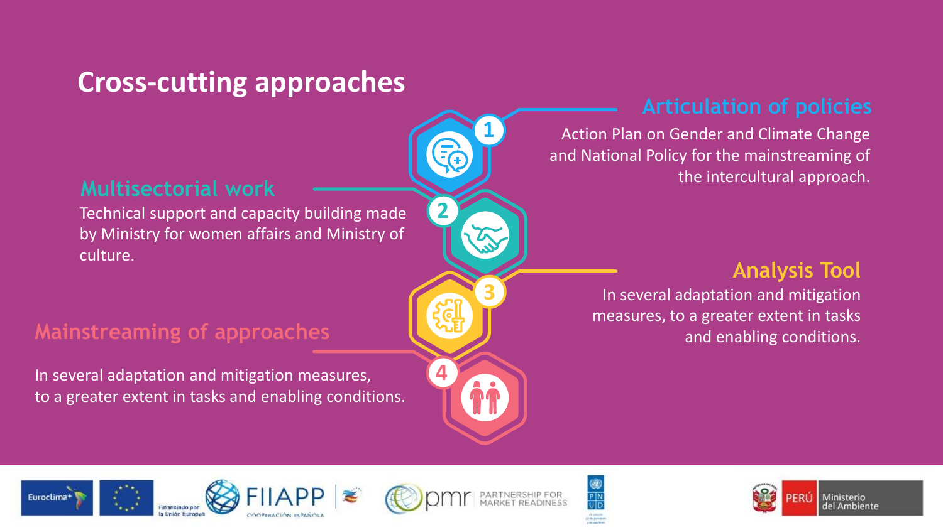## **Cross-cutting approaches**

#### **Multisectorial work**

Technical support and capacity building made by Ministry for women affairs and Ministry of culture.

### **Mainstreaming of approaches**

In several adaptation and mitigation measures, to a greater extent in tasks and enabling conditions.

### **Articulation of policies**

Action Plan on Gender and Climate Change and National Policy for the mainstreaming of the intercultural approach.

#### **Analysis Tool**

In several adaptation and mitigation measures, to a greater extent in tasks and enabling conditions.









**1**

**3**

ÂÅ

**2**

**4**



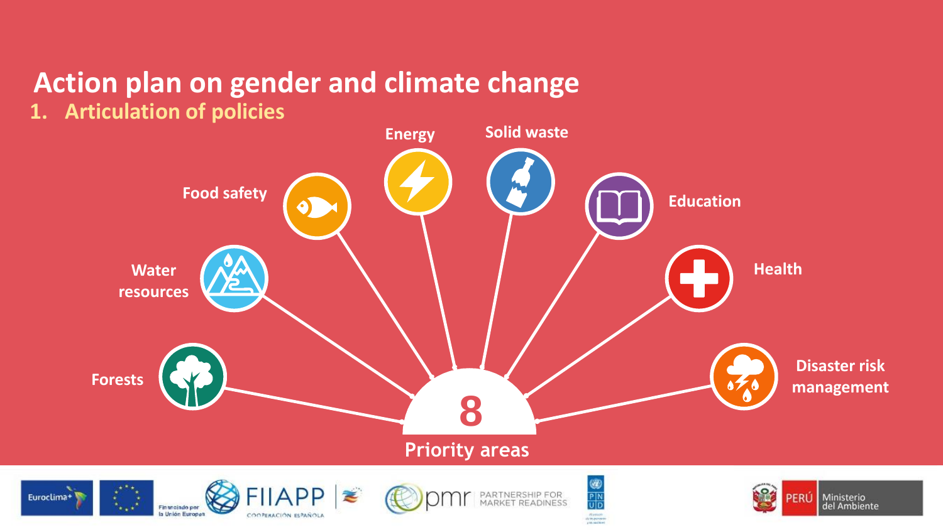# **Action plan on gender and climate change**

**1. Articulation of policies**

la Unión Europea

COOPERACIÓN ESPAÑOLA



-<br>Aluminos<br>Aluminos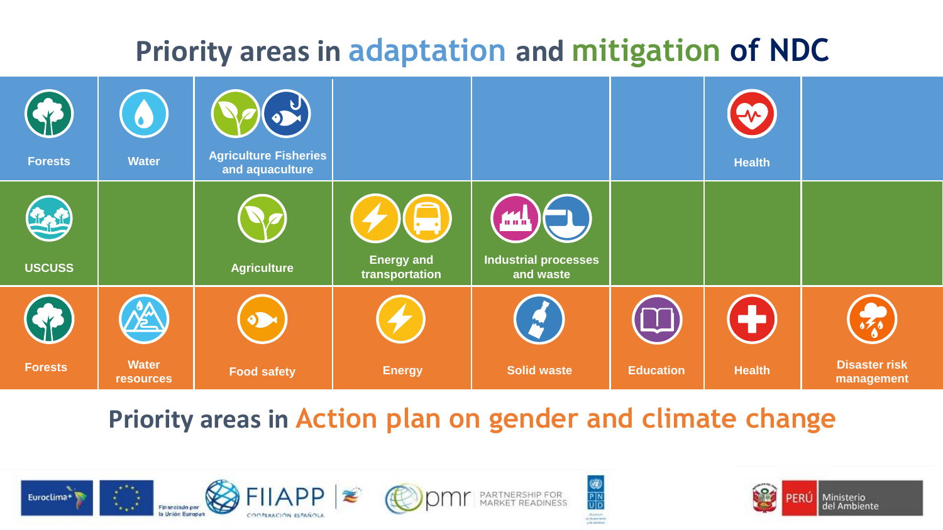# **Priority areas in adaptation and mitigation of NDC**

| CV.<br><b>Forests</b> | O<br><b>Water</b>                | 54<br><b>Agriculture Fisheries</b><br>and aquaculture |                                     |                                                          |                  | $\boldsymbol{\alpha}$<br><b>Health</b> |                                    |
|-----------------------|----------------------------------|-------------------------------------------------------|-------------------------------------|----------------------------------------------------------|------------------|----------------------------------------|------------------------------------|
| <b>USCUSS</b>         |                                  | <b>Agriculture</b>                                    | <b>Energy and</b><br>transportation | <u>m. l.</u><br><b>Industrial processes</b><br>and waste |                  |                                        |                                    |
|                       | nen<br>12                        | D                                                     |                                     | m                                                        |                  | ÷                                      | $\frac{1}{2}$                      |
| <b>Forests</b>        | <b>Water</b><br><b>resources</b> | <b>Food safety</b>                                    | <b>Energy</b>                       | <b>Solid waste</b>                                       | <b>Education</b> | <b>Health</b>                          | <b>Disaster risk</b><br>management |

**Priority areas in Action plan on gender and climate change**



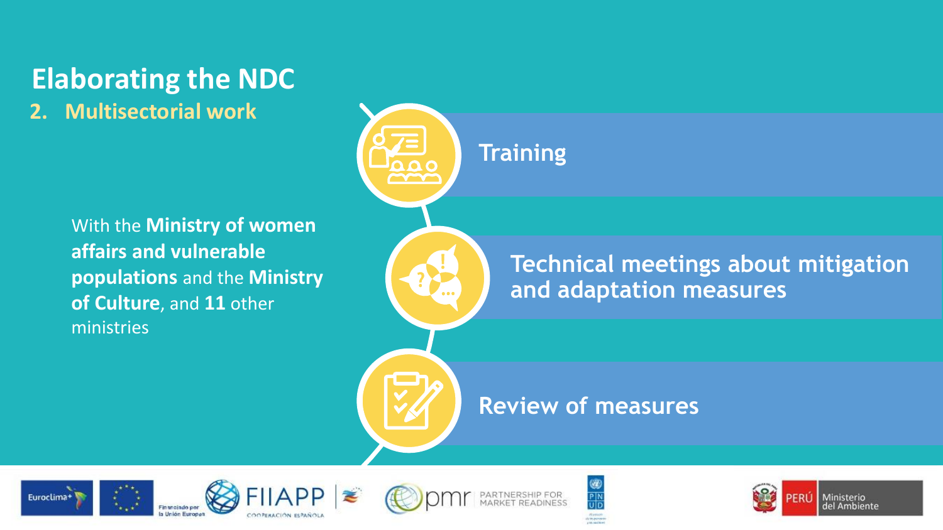# **Elaborating the NDC**

**2. Multisectorial work**

With the **Ministry of women affairs and vulnerable populations** and the **Ministry of Culture**, and **11** other ministries



### **Technical meetings about mitigation and adaptation measures**

### **Review of measures**

 $P|N$ 









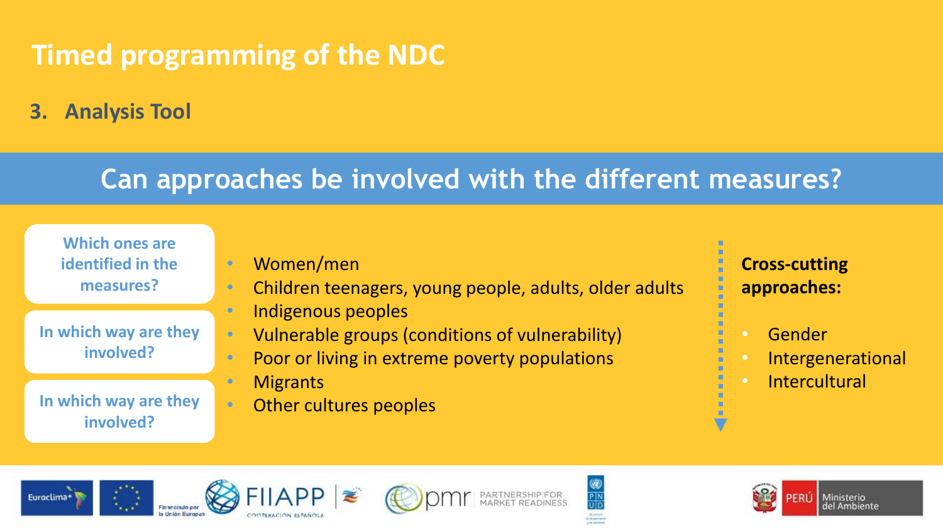# **Timed programming of the NDC**

**3. Analysis Tool**

### **Can approaches be involved with the different measures?**

**Which ones are identified in the measures?**

- **In which way are they involved?**
- **In which way are they involved?**
- Women/men
- Children teenagers, young people, adults, older adults • Indigenous peoples
- Vulnerable groups (conditions of vulnerability)
- Poor or living in extreme poverty populations
- Migrants
- Other cultures peoples
- **Cross-cutting approaches:**
- Gender
- **Intergenerational**
- **Intercultural**









 $P|N$ 

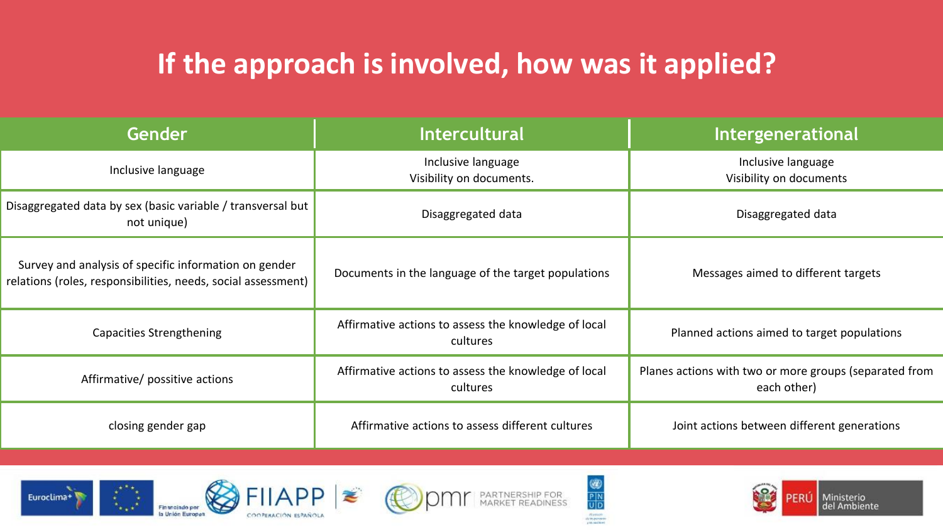# **If the approach is involved, how was it applied?**

| Gender                                                                                                                 | <b>Intercultural</b>                                             | Intergenerational                                                     |  |  |
|------------------------------------------------------------------------------------------------------------------------|------------------------------------------------------------------|-----------------------------------------------------------------------|--|--|
| Inclusive language                                                                                                     | Inclusive language<br>Visibility on documents.                   | Inclusive language<br>Visibility on documents                         |  |  |
| Disaggregated data by sex (basic variable / transversal but  <br>not unique)                                           | Disaggregated data                                               | Disaggregated data                                                    |  |  |
| Survey and analysis of specific information on gender<br>relations (roles, responsibilities, needs, social assessment) | Documents in the language of the target populations              | Messages aimed to different targets                                   |  |  |
| <b>Capacities Strengthening</b>                                                                                        | Affirmative actions to assess the knowledge of local<br>cultures | Planned actions aimed to target populations                           |  |  |
| Affirmative/ possitive actions                                                                                         | Affirmative actions to assess the knowledge of local<br>cultures | Planes actions with two or more groups (separated from<br>each other) |  |  |
| closing gender gap                                                                                                     | Affirmative actions to assess different cultures                 | Joint actions between different generations                           |  |  |









 $\begin{array}{c}\n\circledast \\
\hline\nP\mid N \\
\hline\nU\mid D\n\end{array}$ 

-<br>Alumino<br>Aluminos



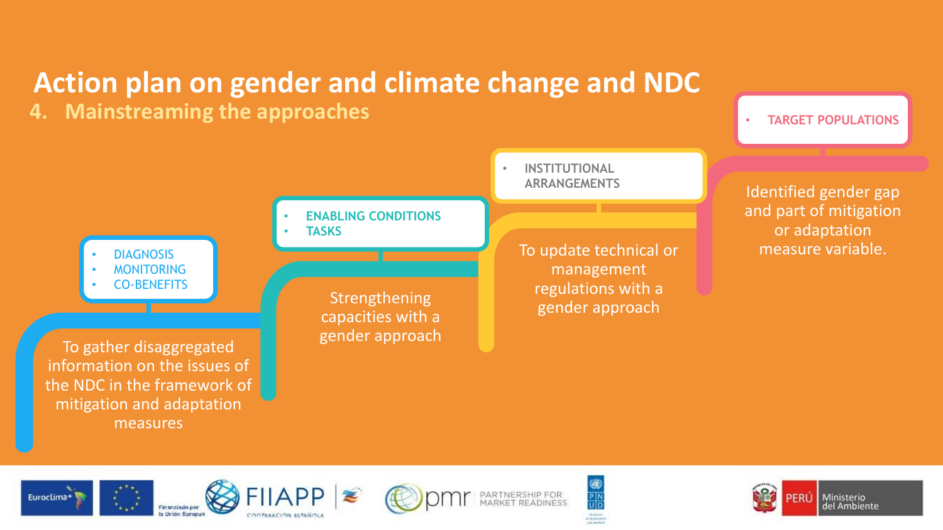## **Action plan on gender and climate change and NDC**

capacities with a gender approach

**4. Mainstreaming the approaches**

• **TARGET POPULATIONS**

**DIAGNOSIS MONITORING** • CO-BENEFITS

To gather disaggregated information on the issues of the NDC in the framework of mitigation and adaptation measures



Identified gender gap and part of mitigation or adaptation measure variable.











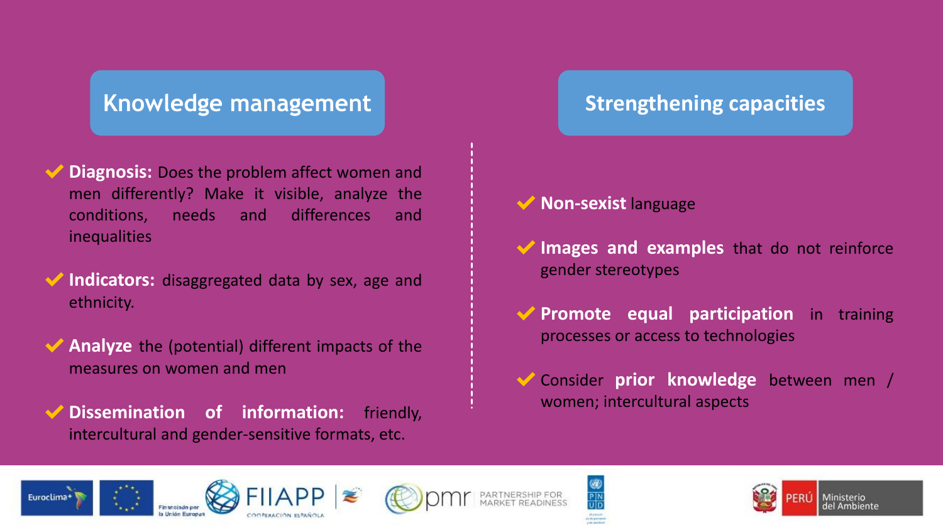### **Knowledge management Strengthening capacities**

- **Diagnosis:** Does the problem affect women and men differently? Make it visible, analyze the conditions, needs and differences and inequalities
- **Indicators:** disaggregated data by sex, age and ethnicity.
- **Analyze** the (potential) different impacts of the measures on women and men
- ✔**Dissemination of information:** friendly, intercultural and gender-sensitive formats, etc.

- ✔**Non-sexist** language
- **Images and examples** that do not reinforce gender stereotypes
- ✔**Promote equal participation** in training processes or access to technologies
- ✔Consider **prior knowledge** between men / women; intercultural aspects